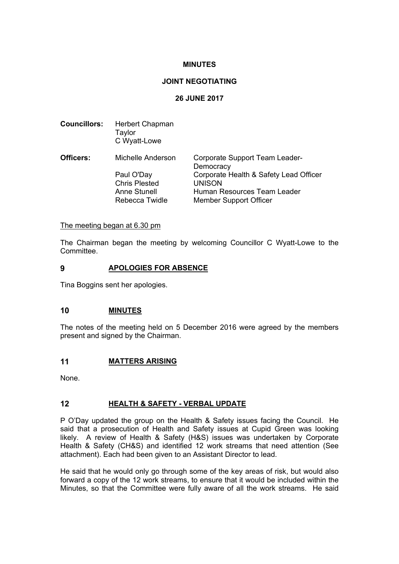#### **MINUTES**

## **JOINT NEGOTIATING**

## **26 JUNE 2017**

| <b>Councillors:</b> | Herbert Chapman<br>Taylor<br>C Wyatt-Lowe |                                             |
|---------------------|-------------------------------------------|---------------------------------------------|
| Officers:           | Michelle Anderson                         | Corporate Support Team Leader-<br>Democracy |
|                     | Paul O'Day                                | Corporate Health & Safety Lead Officer      |
|                     | <b>Chris Plested</b>                      | <b>UNISON</b>                               |
|                     | Anne Stunell                              | Human Resources Team Leader                 |
|                     | Rebecca Twidle                            | <b>Member Support Officer</b>               |

#### The meeting began at 6.30 pm

The Chairman began the meeting by welcoming Councillor C Wyatt-Lowe to the **Committee.** 

## **9 APOLOGIES FOR ABSENCE**

Tina Boggins sent her apologies.

## **10 MINUTES**

The notes of the meeting held on 5 December 2016 were agreed by the members present and signed by the Chairman.

## **11 MATTERS ARISING**

None.

## **12 HEALTH & SAFETY - VERBAL UPDATE**

P O'Day updated the group on the Health & Safety issues facing the Council. He said that a prosecution of Health and Safety issues at Cupid Green was looking likely. A review of Health & Safety (H&S) issues was undertaken by Corporate Health & Safety (CH&S) and identified 12 work streams that need attention (See attachment). Each had been given to an Assistant Director to lead.

He said that he would only go through some of the key areas of risk, but would also forward a copy of the 12 work streams, to ensure that it would be included within the Minutes, so that the Committee were fully aware of all the work streams. He said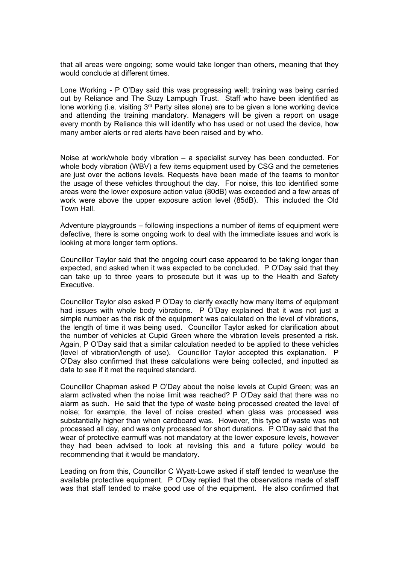that all areas were ongoing; some would take longer than others, meaning that they would conclude at different times.

Lone Working - P O'Day said this was progressing well; training was being carried out by Reliance and The Suzy Lampugh Trust. Staff who have been identified as lone working (i.e. visiting 3<sup>rd</sup> Party sites alone) are to be given a lone working device and attending the training mandatory. Managers will be given a report on usage every month by Reliance this will identify who has used or not used the device, how many amber alerts or red alerts have been raised and by who.

Noise at work/whole body vibration – a specialist survey has been conducted. For whole body vibration (WBV) a few items equipment used by CSG and the cemeteries are just over the actions levels. Requests have been made of the teams to monitor the usage of these vehicles throughout the day. For noise, this too identified some areas were the lower exposure action value (80dB) was exceeded and a few areas of work were above the upper exposure action level (85dB). This included the Old Town Hall.

Adventure playgrounds – following inspections a number of items of equipment were defective, there is some ongoing work to deal with the immediate issues and work is looking at more longer term options.

Councillor Taylor said that the ongoing court case appeared to be taking longer than expected, and asked when it was expected to be concluded. P O'Day said that they can take up to three years to prosecute but it was up to the Health and Safety Executive.

Councillor Taylor also asked P O'Day to clarify exactly how many items of equipment had issues with whole body vibrations. P O'Day explained that it was not just a simple number as the risk of the equipment was calculated on the level of vibrations, the length of time it was being used. Councillor Taylor asked for clarification about the number of vehicles at Cupid Green where the vibration levels presented a risk. Again, P O'Day said that a similar calculation needed to be applied to these vehicles (level of vibration/length of use). Councillor Taylor accepted this explanation. P O'Day also confirmed that these calculations were being collected, and inputted as data to see if it met the required standard.

Councillor Chapman asked P O'Day about the noise levels at Cupid Green; was an alarm activated when the noise limit was reached? P O'Day said that there was no alarm as such. He said that the type of waste being processed created the level of noise; for example, the level of noise created when glass was processed was substantially higher than when cardboard was. However, this type of waste was not processed all day, and was only processed for short durations. P O'Day said that the wear of protective earmuff was not mandatory at the lower exposure levels, however they had been advised to look at revising this and a future policy would be recommending that it would be mandatory.

Leading on from this, Councillor C Wyatt-Lowe asked if staff tended to wear/use the available protective equipment. P O'Day replied that the observations made of staff was that staff tended to make good use of the equipment. He also confirmed that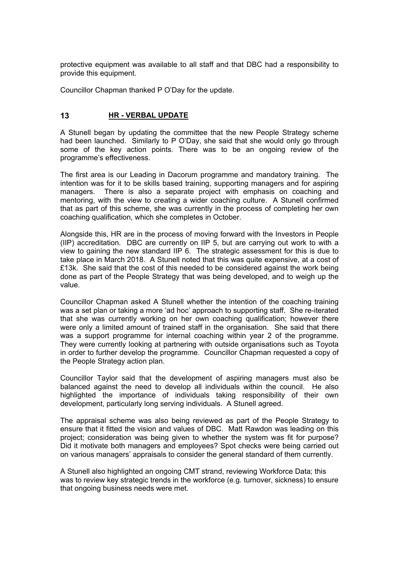protective equipment was available to all staff and that DBC had a responsibility to provide this equipment.

Councillor Chapman thanked P O'Day for the update.

## **13 HR - VERBAL UPDATE**

A Stunell began by updating the committee that the new People Strategy scheme had been launched. Similarly to P O'Day, she said that she would only go through some of the key action points. There was to be an ongoing review of the programme's effectiveness.

The first area is our Leading in Dacorum programme and mandatory training. The intention was for it to be skills based training, supporting managers and for aspiring managers. There is also a separate project with emphasis on coaching and mentoring, with the view to creating a wider coaching culture. A Stunell confirmed that as part of this scheme, she was currently in the process of completing her own coaching qualification, which she completes in October.

Alongside this, HR are in the process of moving forward with the Investors in People (IIP) accreditation. DBC are currently on IIP 5, but are carrying out work to with a view to gaining the new standard IIP 6. The strategic assessment for this is due to take place in March 2018. A Stunell noted that this was quite expensive, at a cost of £13k. She said that the cost of this needed to be considered against the work being done as part of the People Strategy that was being developed, and to weigh up the value.

Councillor Chapman asked A Stunell whether the intention of the coaching training was a set plan or taking a more 'ad hoc' approach to supporting staff. She re-iterated that she was currently working on her own coaching qualification; however there were only a limited amount of trained staff in the organisation. She said that there was a support programme for internal coaching within year 2 of the programme. They were currently looking at partnering with outside organisations such as Toyota in order to further develop the programme. Councillor Chapman requested a copy of the People Strategy action plan.

Councillor Taylor said that the development of aspiring managers must also be balanced against the need to develop all individuals within the council. He also highlighted the importance of individuals taking responsibility of their own development, particularly long serving individuals. A Stunell agreed.

The appraisal scheme was also being reviewed as part of the People Strategy to ensure that it fitted the vision and values of DBC. Matt Rawdon was leading on this project; consideration was being given to whether the system was fit for purpose? Did it motivate both managers and employees? Spot checks were being carried out on various managers' appraisals to consider the general standard of them currently.

A Stunell also highlighted an ongoing CMT strand, reviewing Workforce Data; this was to review key strategic trends in the workforce (e.g. turnover, sickness) to ensure that ongoing business needs were met.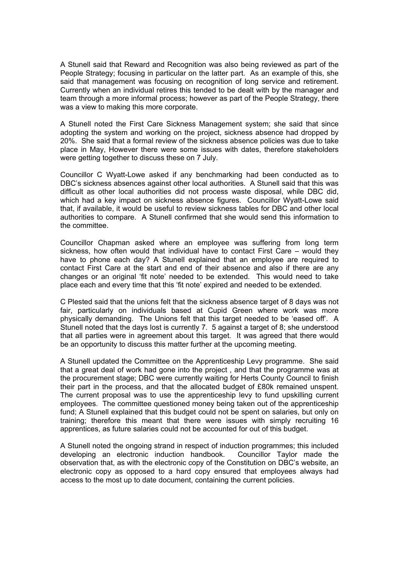A Stunell said that Reward and Recognition was also being reviewed as part of the People Strategy; focusing in particular on the latter part. As an example of this, she said that management was focusing on recognition of long service and retirement. Currently when an individual retires this tended to be dealt with by the manager and team through a more informal process; however as part of the People Strategy, there was a view to making this more corporate.

A Stunell noted the First Care Sickness Management system; she said that since adopting the system and working on the project, sickness absence had dropped by 20%. She said that a formal review of the sickness absence policies was due to take place in May, However there were some issues with dates, therefore stakeholders were getting together to discuss these on 7 July.

Councillor C Wyatt-Lowe asked if any benchmarking had been conducted as to DBC's sickness absences against other local authorities. A Stunell said that this was difficult as other local authorities did not process waste disposal, while DBC did, which had a key impact on sickness absence figures. Councillor Wyatt-Lowe said that, if available, it would be useful to review sickness tables for DBC and other local authorities to compare. A Stunell confirmed that she would send this information to the committee.

Councillor Chapman asked where an employee was suffering from long term sickness, how often would that individual have to contact First Care – would they have to phone each day? A Stunell explained that an employee are required to contact First Care at the start and end of their absence and also if there are any changes or an original 'fit note' needed to be extended. This would need to take place each and every time that this 'fit note' expired and needed to be extended.

C Plested said that the unions felt that the sickness absence target of 8 days was not fair, particularly on individuals based at Cupid Green where work was more physically demanding. The Unions felt that this target needed to be 'eased off'. A Stunell noted that the days lost is currently 7. 5 against a target of 8; she understood that all parties were in agreement about this target. It was agreed that there would be an opportunity to discuss this matter further at the upcoming meeting.

A Stunell updated the Committee on the Apprenticeship Levy programme. She said that a great deal of work had gone into the project , and that the programme was at the procurement stage; DBC were currently waiting for Herts County Council to finish their part in the process, and that the allocated budget of £80k remained unspent. The current proposal was to use the apprenticeship levy to fund upskilling current employees. The committee questioned money being taken out of the apprenticeship fund; A Stunell explained that this budget could not be spent on salaries, but only on training; therefore this meant that there were issues with simply recruiting 16 apprentices, as future salaries could not be accounted for out of this budget.

A Stunell noted the ongoing strand in respect of induction programmes; this included developing an electronic induction handbook. Councillor Taylor made the observation that, as with the electronic copy of the Constitution on DBC's website, an electronic copy as opposed to a hard copy ensured that employees always had access to the most up to date document, containing the current policies.